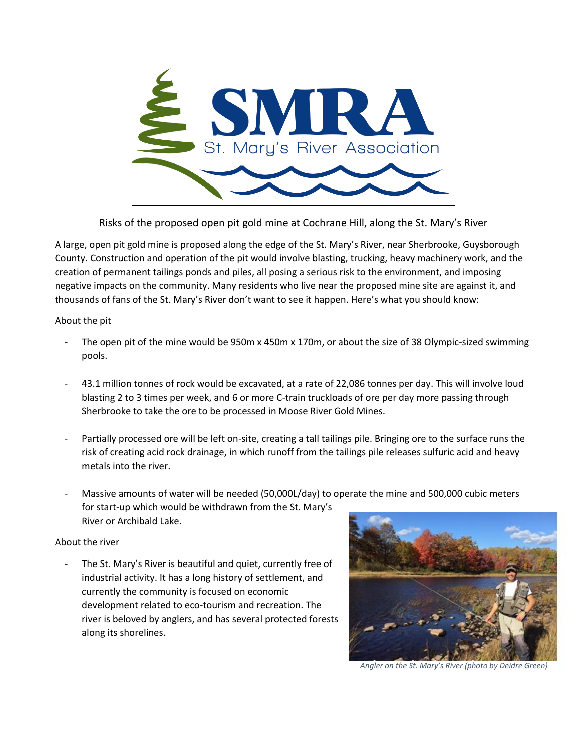

## Risks of the proposed open pit gold mine at Cochrane Hill, along the St. Mary's River

A large, open pit gold mine is proposed along the edge of the St. Mary's River, near Sherbrooke, Guysborough County. Construction and operation of the pit would involve blasting, trucking, heavy machinery work, and the creation of permanent tailings ponds and piles, all posing a serious risk to the environment, and imposing negative impacts on the community. Many residents who live near the proposed mine site are against it, and thousands of fans of the St. Mary's River don't want to see it happen. Here's what you should know:

About the pit

- The open pit of the mine would be 950m x 450m x 170m, or about the size of 38 Olympic-sized swimming pools.
- 43.1 million tonnes of rock would be excavated, at a rate of 22,086 tonnes per day. This will involve loud blasting 2 to 3 times per week, and 6 or more C-train truckloads of ore per day more passing through Sherbrooke to take the ore to be processed in Moose River Gold Mines.
- Partially processed ore will be left on-site, creating a tall tailings pile. Bringing ore to the surface runs the risk of creating acid rock drainage, in which runoff from the tailings pile releases sulfuric acid and heavy metals into the river.
- Massive amounts of water will be needed (50,000L/day) to operate the mine and 500,000 cubic meters for start-up which would be withdrawn from the St. Mary's River or Archibald Lake.

## About the river

The St. Mary's River is beautiful and quiet, currently free of industrial activity. It has a long history of settlement, and currently the community is focused on economic development related to eco-tourism and recreation. The river is beloved by anglers, and has several protected forests along its shorelines.



*Angler on the St. Mary's River (photo by Deidre Green)*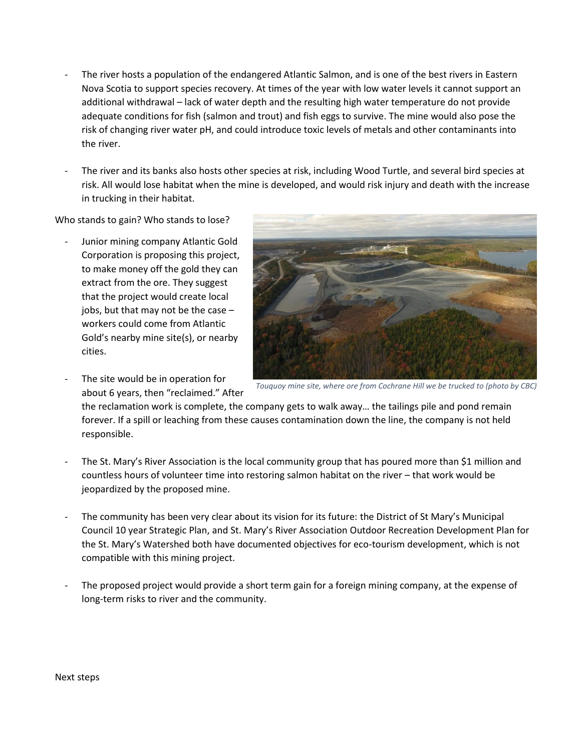- The river hosts a population of the endangered Atlantic Salmon, and is one of the best rivers in Eastern Nova Scotia to support species recovery. At times of the year with low water levels it cannot support an additional withdrawal – lack of water depth and the resulting high water temperature do not provide adequate conditions for fish (salmon and trout) and fish eggs to survive. The mine would also pose the risk of changing river water pH, and could introduce toxic levels of metals and other contaminants into the river.
- The river and its banks also hosts other species at risk, including Wood Turtle, and several bird species at risk. All would lose habitat when the mine is developed, and would risk injury and death with the increase in trucking in their habitat.

Who stands to gain? Who stands to lose?

- Junior mining company Atlantic Gold Corporation is proposing this project, to make money off the gold they can extract from the ore. They suggest that the project would create local jobs, but that may not be the case – workers could come from Atlantic Gold's nearby mine site(s), or nearby cities.
- The site would be in operation for about 6 years, then "reclaimed." After



*Touquoy mine site, where ore from Cochrane Hill we be trucked to (photo by CBC)*

the reclamation work is complete, the company gets to walk away… the tailings pile and pond remain forever. If a spill or leaching from these causes contamination down the line, the company is not held responsible.

- The St. Mary's River Association is the local community group that has poured more than \$1 million and countless hours of volunteer time into restoring salmon habitat on the river – that work would be jeopardized by the proposed mine.
- The community has been very clear about its vision for its future: the District of St Mary's Municipal Council 10 year Strategic Plan, and St. Mary's River Association Outdoor Recreation Development Plan for the St. Mary's Watershed both have documented objectives for eco-tourism development, which is not compatible with this mining project.
- The proposed project would provide a short term gain for a foreign mining company, at the expense of long-term risks to river and the community.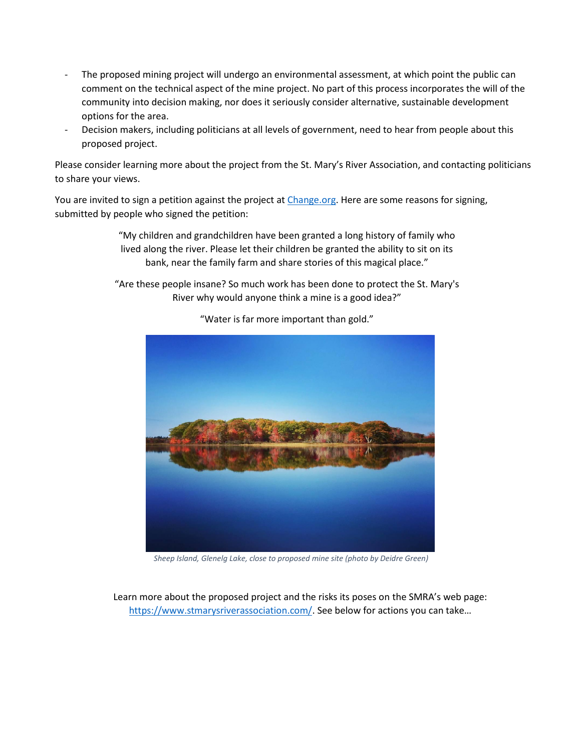- The proposed mining project will undergo an environmental assessment, at which point the public can comment on the technical aspect of the mine project. No part of this process incorporates the will of the community into decision making, nor does it seriously consider alternative, sustainable development options for the area.
- Decision makers, including politicians at all levels of government, need to hear from people about this proposed project.

Please consider learning more about the project from the St. Mary's River Association, and contacting politicians to share your views.

You are invited to sign a petition against the project at *Change.org*. Here are some reasons for signing, submitted by people who signed the petition:

> "My children and grandchildren have been granted a long history of family who lived along the river. Please let their children be granted the ability to sit on its bank, near the family farm and share stories of this magical place."

"Are these people insane? So much work has been done to protect the St. Mary's River why would anyone think a mine is a good idea?"



"Water is far more important than gold."

*Sheep Island, Glenelg Lake, close to proposed mine site (photo by Deidre Green)*

Learn more about the proposed project and the risks its poses on the SMRA's web page: [https://www.stmarysriverassociation.com/.](https://www.stmarysriverassociation.com/) See below for actions you can take…